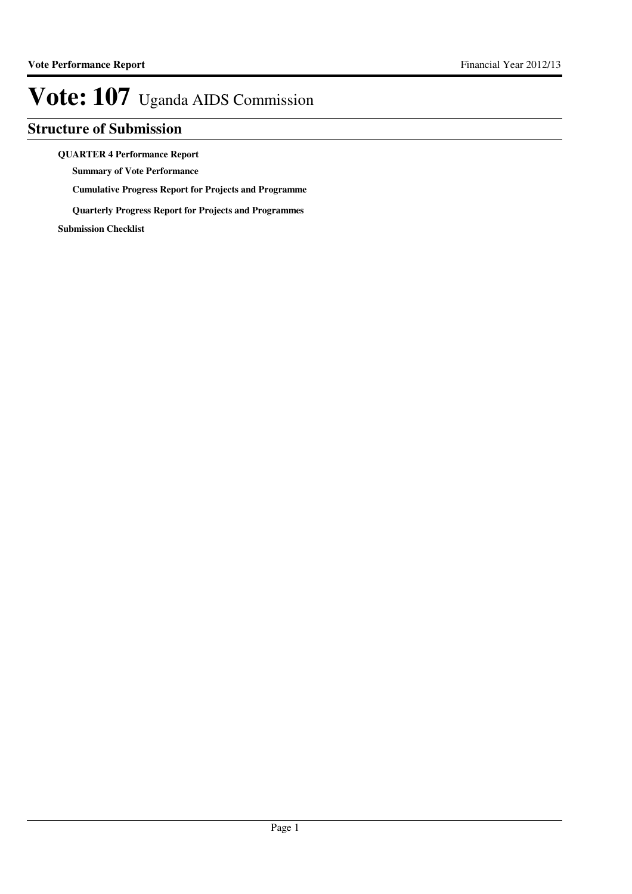### **Structure of Submission**

**QUARTER 4 Performance Report**

**Summary of Vote Performance**

**Cumulative Progress Report for Projects and Programme**

**Quarterly Progress Report for Projects and Programmes**

**Submission Checklist**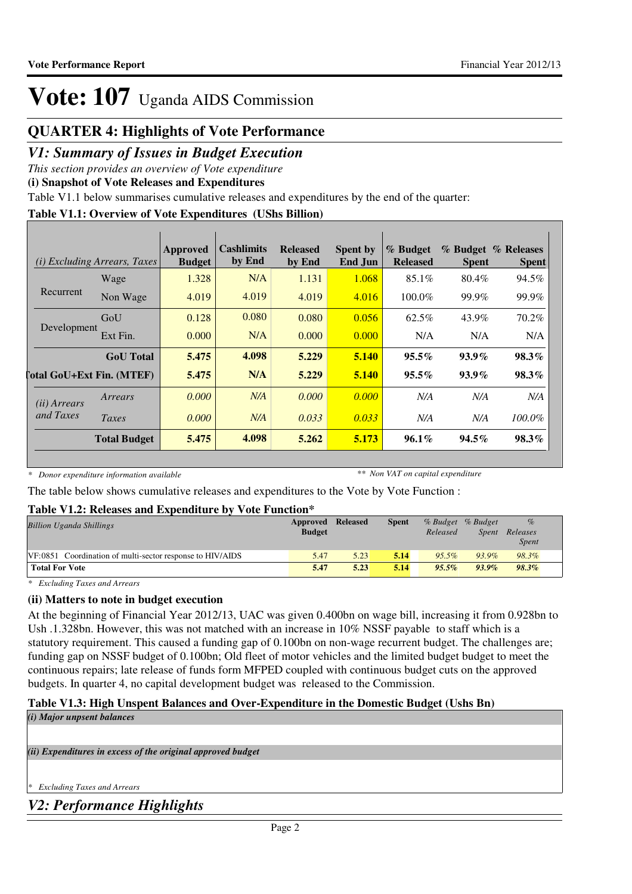### **QUARTER 4: Highlights of Vote Performance**

### *V1: Summary of Issues in Budget Execution*

*This section provides an overview of Vote expenditure*

**(i) Snapshot of Vote Releases and Expenditures**

Table V1.1 below summarises cumulative releases and expenditures by the end of the quarter:

#### **Table V1.1: Overview of Vote Expenditures (UShs Billion)**

|                       | <i>(i)</i> Excluding Arrears, Taxes | Approved<br><b>Budget</b> | <b>Cashlimits</b><br>by End | <b>Released</b><br>by End | <b>Spent by</b><br>End Jun | % Budget<br><b>Released</b> | <b>Spent</b> | % Budget % Releases<br><b>Spent</b> |
|-----------------------|-------------------------------------|---------------------------|-----------------------------|---------------------------|----------------------------|-----------------------------|--------------|-------------------------------------|
|                       | Wage                                | 1.328                     | N/A                         | 1.131                     | 1.068                      | $85.1\%$                    | 80.4%        | 94.5%                               |
| Recurrent             | Non Wage                            | 4.019                     | 4.019                       | 4.019                     | 4.016                      | 100.0%                      | 99.9%        | 99.9%                               |
| Development           | GoU                                 | 0.128                     | 0.080                       | 0.080                     | 0.056                      | 62.5%                       | 43.9%        | 70.2%                               |
|                       | Ext Fin.                            | 0.000                     | N/A                         | 0.000                     | 0.000                      | N/A                         | N/A          | N/A                                 |
|                       | <b>GoU</b> Total                    | 5.475                     | 4.098                       | 5.229                     | 5.140                      | $95.5\%$                    | $93.9\%$     | 98.3%                               |
|                       | [otal GoU+Ext Fin. (MTEF)           | 5.475                     | N/A                         | 5.229                     | 5.140                      | $95.5\%$                    | $93.9\%$     | $98.3\%$                            |
| ( <i>ii</i> ) Arrears | Arrears                             | 0.000                     | N/A                         | 0.000                     | 0.000                      | N/A                         | N/A          | N/A                                 |
| and Taxes             | Taxes                               | 0.000                     | N/A                         | 0.033                     | 0.033                      | N/A                         | N/A          | 100.0%                              |
|                       | <b>Total Budget</b>                 | 5.475                     | 4.098                       | 5.262                     | 5.173                      | $96.1\%$                    | $94.5\%$     | 98.3%                               |

*\* Donor expenditure information available*

*\*\* Non VAT on capital expenditure*

The table below shows cumulative releases and expenditures to the Vote by Vote Function :

#### **Table V1.2: Releases and Expenditure by Vote Function\***

| <b>Billion Uganda Shillings</b>                           | Approved Released |      | <b>Spent</b> | % Budget % Budget |              | $\%$         |  |
|-----------------------------------------------------------|-------------------|------|--------------|-------------------|--------------|--------------|--|
|                                                           | <b>Budget</b>     |      |              | Released          | <i>Spent</i> | Releases     |  |
|                                                           |                   |      |              |                   |              | <i>Spent</i> |  |
| VF:0851 Coordination of multi-sector response to HIV/AIDS | 5.47              | 5.23 | 5.14         | $95.5\%$          | 93.9%        | 98.3%        |  |
| <b>Total For Vote</b>                                     | 5.47              | 5.23 | 5.14         | $95.5\%$          | $93.9\%$     | 98.3%        |  |

*\* Excluding Taxes and Arrears*

#### **(ii) Matters to note in budget execution**

At the beginning of Financial Year 2012/13, UAC was given 0.400bn on wage bill, increasing it from 0.928bn to Ush .1.328bn. However, this was not matched with an increase in 10% NSSF payable to staff which is a statutory requirement. This caused a funding gap of 0.100bn on non-wage recurrent budget. The challenges are; funding gap on NSSF budget of 0.100bn; Old fleet of motor vehicles and the limited budget budget to meet the continuous repairs; late release of funds form MFPED coupled with continuous budget cuts on the approved budgets. In quarter 4, no capital development budget was released to the Commission.

#### **Table V1.3: High Unspent Balances and Over-Expenditure in the Domestic Budget (Ushs Bn)** *(i) Major unpsent balances*

*(ii) Expenditures in excess of the original approved budget*

*\* Excluding Taxes and Arrears*

*V2: Performance Highlights*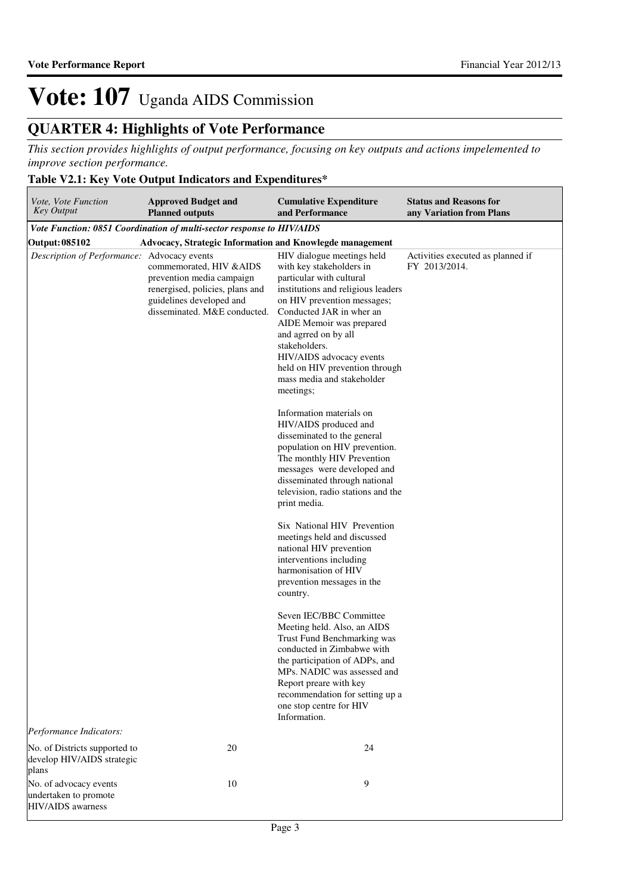## **QUARTER 4: Highlights of Vote Performance**

*This section provides highlights of output performance, focusing on key outputs and actions impelemented to improve section performance.*

#### **Table V2.1: Key Vote Output Indicators and Expenditures\***

| Vote, Vote Function<br><b>Key Output</b>                                    | <b>Approved Budget and</b><br><b>Planned outputs</b>                                                                                                 | <b>Cumulative Expenditure</b><br>and Performance                                                                                                                                                                                                                                                                                                                  | <b>Status and Reasons for</b><br>any Variation from Plans |  |  |  |  |  |  |
|-----------------------------------------------------------------------------|------------------------------------------------------------------------------------------------------------------------------------------------------|-------------------------------------------------------------------------------------------------------------------------------------------------------------------------------------------------------------------------------------------------------------------------------------------------------------------------------------------------------------------|-----------------------------------------------------------|--|--|--|--|--|--|
| Vote Function: 0851 Coordination of multi-sector response to HIV/AIDS       |                                                                                                                                                      |                                                                                                                                                                                                                                                                                                                                                                   |                                                           |  |  |  |  |  |  |
| Output: 085102<br>Advocacy, Strategic Information and Knowlegde management  |                                                                                                                                                      |                                                                                                                                                                                                                                                                                                                                                                   |                                                           |  |  |  |  |  |  |
| Description of Performance: Advocacy events                                 | commemorated, HIV & AIDS<br>prevention media campaign<br>renergised, policies, plans and<br>guidelines developed and<br>disseminated. M&E conducted. | HIV dialogue meetings held<br>with key stakeholders in<br>particular with cultural<br>institutions and religious leaders<br>on HIV prevention messages;<br>Conducted JAR in wher an<br>AIDE Memoir was prepared<br>and agrred on by all<br>stakeholders.<br>HIV/AIDS advocacy events<br>held on HIV prevention through<br>mass media and stakeholder<br>meetings; | Activities executed as planned if<br>FY 2013/2014.        |  |  |  |  |  |  |
|                                                                             |                                                                                                                                                      | Information materials on<br>HIV/AIDS produced and<br>disseminated to the general<br>population on HIV prevention.<br>The monthly HIV Prevention<br>messages were developed and<br>disseminated through national<br>television, radio stations and the<br>print media.                                                                                             |                                                           |  |  |  |  |  |  |
|                                                                             |                                                                                                                                                      | Six National HIV Prevention<br>meetings held and discussed<br>national HIV prevention<br>interventions including<br>harmonisation of HIV<br>prevention messages in the<br>country.                                                                                                                                                                                |                                                           |  |  |  |  |  |  |
|                                                                             |                                                                                                                                                      | Seven IEC/BBC Committee<br>Meeting held. Also, an AIDS<br>Trust Fund Benchmarking was<br>conducted in Zimbabwe with<br>the participation of ADPs, and<br>MPs. NADIC was assessed and<br>Report preare with key<br>recommendation for setting up a<br>one stop centre for HIV<br>Information.                                                                      |                                                           |  |  |  |  |  |  |
| Performance Indicators:                                                     |                                                                                                                                                      |                                                                                                                                                                                                                                                                                                                                                                   |                                                           |  |  |  |  |  |  |
| No. of Districts supported to<br>develop HIV/AIDS strategic<br>plans        | 20                                                                                                                                                   | 24                                                                                                                                                                                                                                                                                                                                                                |                                                           |  |  |  |  |  |  |
| No. of advocacy events<br>undertaken to promote<br><b>HIV/AIDS</b> awarness | 10                                                                                                                                                   | 9                                                                                                                                                                                                                                                                                                                                                                 |                                                           |  |  |  |  |  |  |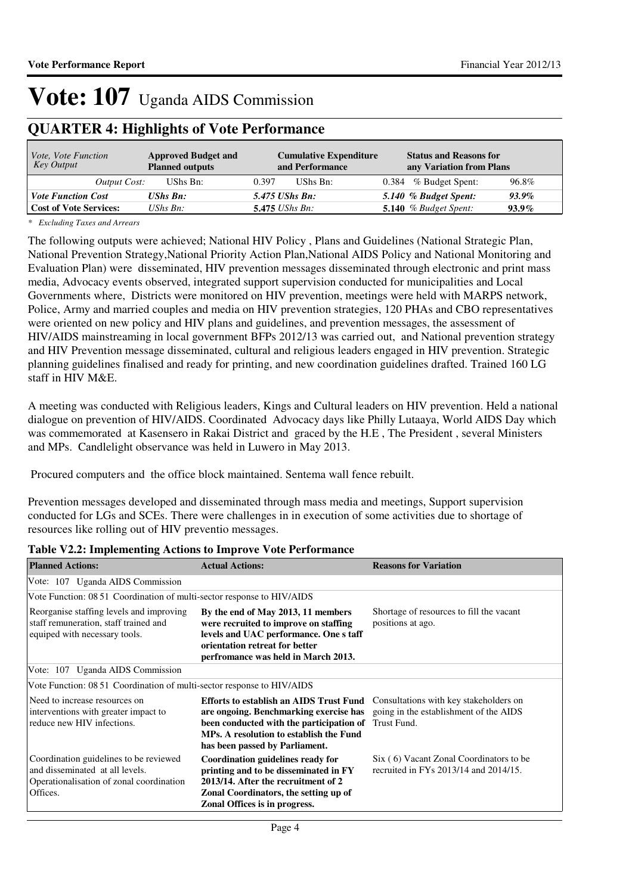### **QUARTER 4: Highlights of Vote Performance**

| <i>Vote, Vote Function</i><br>Key Output | <b>Approved Budget and</b><br><b>Planned outputs</b> | <b>Cumulative Expenditure</b><br>and Performance | <b>Status and Reasons for</b><br>any Variation from Plans |
|------------------------------------------|------------------------------------------------------|--------------------------------------------------|-----------------------------------------------------------|
| Output Cost:                             | UShs Bn:                                             | 0.397<br>UShs Bn:                                | 96.8%<br>0.384 % Budget Spent:                            |
| <b>Vote Function Cost</b>                | <b>UShs Bn:</b>                                      | 5.475 UShs Bn:                                   | 5.140 % Budget Spent:<br>$93.9\%$                         |
| <b>Cost of Vote Services:</b>            | UShs $B_n$ :                                         | $5.475$ UShs Bn:                                 | 5.140 $%$ Budget Spent:<br>$93.9\%$                       |

*\* Excluding Taxes and Arrears*

The following outputs were achieved; National HIV Policy , Plans and Guidelines (National Strategic Plan, National Prevention Strategy,National Priority Action Plan,National AIDS Policy and National Monitoring and Evaluation Plan) were disseminated, HIV prevention messages disseminated through electronic and print mass media, Advocacy events observed, integrated support supervision conducted for municipalities and Local Governments where, Districts were monitored on HIV prevention, meetings were held with MARPS network, Police, Army and married couples and media on HIV prevention strategies, 120 PHAs and CBO representatives were oriented on new policy and HIV plans and guidelines, and prevention messages, the assessment of HIV/AIDS mainstreaming in local government BFPs 2012/13 was carried out, and National prevention strategy and HIV Prevention message disseminated, cultural and religious leaders engaged in HIV prevention. Strategic planning guidelines finalised and ready for printing, and new coordination guidelines drafted. Trained 160 LG staff in HIV M&E.

A meeting was conducted with Religious leaders, Kings and Cultural leaders on HIV prevention. Held a national dialogue on prevention of HIV/AIDS. Coordinated Advocacy days like Philly Lutaaya, World AIDS Day which was commemorated at Kasensero in Rakai District and graced by the H.E , The President , several Ministers and MPs. Candlelight observance was held in Luwero in May 2013.

Procured computers and the office block maintained. Sentema wall fence rebuilt.

Prevention messages developed and disseminated through mass media and meetings, Support supervision conducted for LGs and SCEs. There were challenges in in execution of some activities due to shortage of resources like rolling out of HIV preventio messages.

| <b>Planned Actions:</b>                                                                                                           | <b>Actual Actions:</b>                                                                                                                                                                                                                                                                                      | <b>Reasons for Variation</b>                                                          |
|-----------------------------------------------------------------------------------------------------------------------------------|-------------------------------------------------------------------------------------------------------------------------------------------------------------------------------------------------------------------------------------------------------------------------------------------------------------|---------------------------------------------------------------------------------------|
| Vote: 107 Uganda AIDS Commission                                                                                                  |                                                                                                                                                                                                                                                                                                             |                                                                                       |
| Vote Function: 08 51 Coordination of multi-sector response to HIV/AIDS                                                            |                                                                                                                                                                                                                                                                                                             |                                                                                       |
| Reorganise staffing levels and improving<br>staff remuneration, staff trained and<br>equiped with necessary tools.                | By the end of May 2013, 11 members<br>were recruited to improve on staffing<br>levels and UAC performance. One s taff<br>orientation retreat for better<br>perfromance was held in March 2013.                                                                                                              | Shortage of resources to fill the vacant<br>positions at ago.                         |
| Vote: 107 Uganda AIDS Commission                                                                                                  |                                                                                                                                                                                                                                                                                                             |                                                                                       |
| Vote Function: 08 51 Coordination of multi-sector response to HIV/AIDS                                                            |                                                                                                                                                                                                                                                                                                             |                                                                                       |
| Need to increase resources on<br>interventions with greater impact to<br>reduce new HIV infections.                               | <b>Efforts to establish an AIDS Trust Fund</b> Consultations with key stakeholders on<br>are ongoing. Benchmarking exercise has going in the establishment of the AIDS<br>been conducted with the participation of Trust Fund.<br>MPs. A resolution to establish the Fund<br>has been passed by Parliament. |                                                                                       |
| Coordination guidelines to be reviewed<br>and disseminated at all levels.<br>Operationalisation of zonal coordination<br>Offices. | Coordination guidelines ready for<br>printing and to be disseminated in FY<br>2013/14. After the recruitment of 2<br>Zonal Coordinators, the setting up of<br>Zonal Offices is in progress.                                                                                                                 | Six (6) Vacant Zonal Coordinators to be<br>recruited in FYs $2013/14$ and $2014/15$ . |

#### **Table V2.2: Implementing Actions to Improve Vote Performance**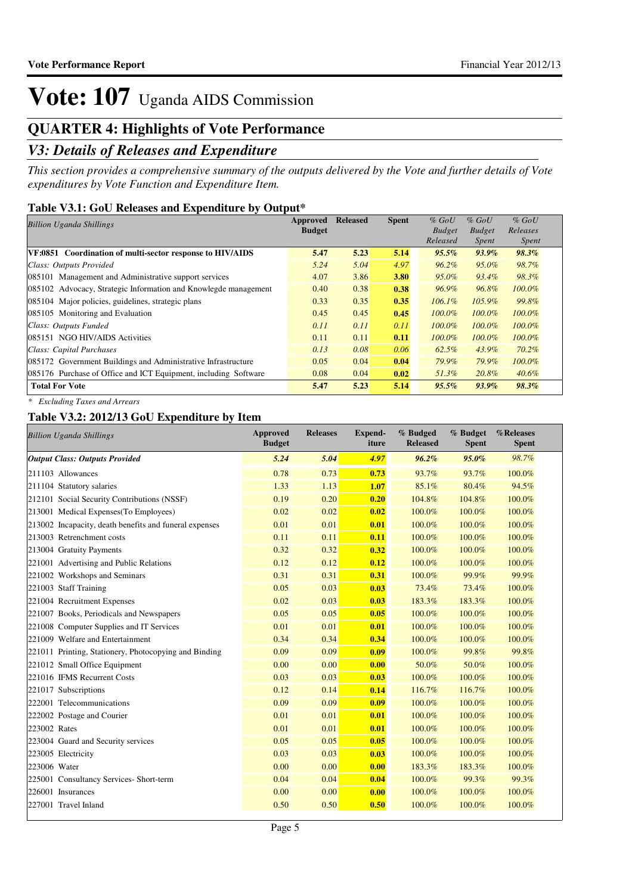### **QUARTER 4: Highlights of Vote Performance**

### *V3: Details of Releases and Expenditure*

*This section provides a comprehensive summary of the outputs delivered by the Vote and further details of Vote expenditures by Vote Function and Expenditure Item.*

#### **Table V3.1: GoU Releases and Expenditure by Output\***

| <b>Billion Uganda Shillings</b>                                 | Approved      | <b>Released</b> | <b>Spent</b> | $%$ GoU       | $%$ GoU       | $%$ GoU      |
|-----------------------------------------------------------------|---------------|-----------------|--------------|---------------|---------------|--------------|
|                                                                 | <b>Budget</b> |                 |              | <b>Budget</b> | <b>Budget</b> | Releases     |
|                                                                 |               |                 |              | Released      | Spent         | <i>Spent</i> |
| VF:0851 Coordination of multi-sector response to HIV/AIDS       | 5.47          | 5.23            | 5.14         | $95.5\%$      | 93.9%         | 98.3%        |
| Class: Outputs Provided                                         | 5.24          | 5.04            | 4.97         | $96.2\%$      | 95.0%         | 98.7%        |
| 085101 Management and Administrative support services           | 4.07          | 3.86            | 3.80         | 95.0%         | 93.4%         | 98.3%        |
| 085102 Advocacy, Strategic Information and Knowlegde management | 0.40          | 0.38            | 0.38         | 96.9%         | 96.8%         | $100.0\%$    |
| 085104 Major policies, guidelines, strategic plans              | 0.33          | 0.35            | 0.35         | $106.1\%$     | $105.9\%$     | 99.8%        |
| 085105 Monitoring and Evaluation                                | 0.45          | 0.45            | 0.45         | $100.0\%$     | $100.0\%$     | $100.0\%$    |
| Class: Outputs Funded                                           | 0.11          | 0.11            | 0.11         | $100.0\%$     | $100.0\%$     | $100.0\%$    |
| 085151 NGO HIV/AIDS Activities                                  | 0.11          | 0.11            | 0.11         | $100.0\%$     | $100.0\%$     | $100.0\%$    |
| Class: Capital Purchases                                        | 0.13          | 0.08            | 0.06         | $62.5\%$      | 43.9%         | 70.2%        |
| 085172 Government Buildings and Administrative Infrastructure   | 0.05          | 0.04            | 0.04         | 79.9%         | 79.9%         | 100.0%       |
| 085176 Purchase of Office and ICT Equipment, including Software | 0.08          | 0.04            | 0.02         | 51.3%         | 20.8%         | $40.6\%$     |
| <b>Total For Vote</b>                                           | 5.47          | 5.23            | 5.14         | 95.5%         | $93.9\%$      | 98.3%        |

*\* Excluding Taxes and Arrears*

#### **Table V3.2: 2012/13 GoU Expenditure by Item**

| <b>Billion Uganda Shillings</b>                        | <b>Approved</b><br><b>Budget</b> | <b>Releases</b> | Expend-<br>iture | % Budged<br><b>Released</b> | % Budget<br><b>Spent</b> | %Releases<br><b>Spent</b> |
|--------------------------------------------------------|----------------------------------|-----------------|------------------|-----------------------------|--------------------------|---------------------------|
| <b>Output Class: Outputs Provided</b>                  | 5.24                             | 5.04            | 4.97             | $96.2\%$                    | 95.0%                    | 98.7%                     |
| 211103 Allowances                                      | 0.78                             | 0.73            | 0.73             | 93.7%                       | 93.7%                    | 100.0%                    |
| 211104 Statutory salaries                              | 1.33                             | 1.13            | 1.07             | 85.1%                       | 80.4%                    | 94.5%                     |
| 212101 Social Security Contributions (NSSF)            | 0.19                             | 0.20            | 0.20             | 104.8%                      | 104.8%                   | 100.0%                    |
| 213001 Medical Expenses (To Employees)                 | 0.02                             | 0.02            | 0.02             | 100.0%                      | 100.0%                   | 100.0%                    |
| 213002 Incapacity, death benefits and funeral expenses | 0.01                             | 0.01            | 0.01             | 100.0%                      | 100.0%                   | 100.0%                    |
| 213003 Retrenchment costs                              | 0.11                             | 0.11            | 0.11             | 100.0%                      | 100.0%                   | 100.0%                    |
| 213004 Gratuity Payments                               | 0.32                             | 0.32            | 0.32             | 100.0%                      | 100.0%                   | 100.0%                    |
| 221001 Advertising and Public Relations                | 0.12                             | 0.12            | 0.12             | 100.0%                      | 100.0%                   | 100.0%                    |
| 221002 Workshops and Seminars                          | 0.31                             | 0.31            | 0.31             | 100.0%                      | 99.9%                    | 99.9%                     |
| 221003 Staff Training                                  | 0.05                             | 0.03            | 0.03             | 73.4%                       | 73.4%                    | 100.0%                    |
| 221004 Recruitment Expenses                            | 0.02                             | 0.03            | 0.03             | 183.3%                      | 183.3%                   | 100.0%                    |
| 221007 Books, Periodicals and Newspapers               | 0.05                             | 0.05            | 0.05             | 100.0%                      | 100.0%                   | 100.0%                    |
| 221008 Computer Supplies and IT Services               | 0.01                             | 0.01            | 0.01             | 100.0%                      | 100.0%                   | 100.0%                    |
| 221009 Welfare and Entertainment                       | 0.34                             | 0.34            | 0.34             | 100.0%                      | 100.0%                   | 100.0%                    |
| 221011 Printing, Stationery, Photocopying and Binding  | 0.09                             | 0.09            | 0.09             | 100.0%                      | 99.8%                    | 99.8%                     |
| 221012 Small Office Equipment                          | 0.00                             | 0.00            | 0.00             | 50.0%                       | 50.0%                    | 100.0%                    |
| 221016 IFMS Recurrent Costs                            | 0.03                             | 0.03            | 0.03             | 100.0%                      | 100.0%                   | 100.0%                    |
| 221017 Subscriptions                                   | 0.12                             | 0.14            | 0.14             | 116.7%                      | 116.7%                   | 100.0%                    |
| 222001 Telecommunications                              | 0.09                             | 0.09            | 0.09             | 100.0%                      | 100.0%                   | 100.0%                    |
| 222002 Postage and Courier                             | 0.01                             | 0.01            | 0.01             | 100.0%                      | 100.0%                   | 100.0%                    |
| 223002 Rates                                           | 0.01                             | 0.01            | 0.01             | 100.0%                      | 100.0%                   | 100.0%                    |
| 223004 Guard and Security services                     | 0.05                             | 0.05            | 0.05             | 100.0%                      | 100.0%                   | 100.0%                    |
| 223005 Electricity                                     | 0.03                             | 0.03            | 0.03             | 100.0%                      | 100.0%                   | 100.0%                    |
| 223006 Water                                           | 0.00                             | 0.00            | 0.00             | 183.3%                      | 183.3%                   | 100.0%                    |
| 225001 Consultancy Services- Short-term                | 0.04                             | 0.04            | 0.04             | 100.0%                      | 99.3%                    | 99.3%                     |
| 226001 Insurances                                      | 0.00                             | 0.00            | 0.00             | 100.0%                      | 100.0%                   | 100.0%                    |
| 227001 Travel Inland                                   | 0.50                             | 0.50            | 0.50             | 100.0%                      | 100.0%                   | 100.0%                    |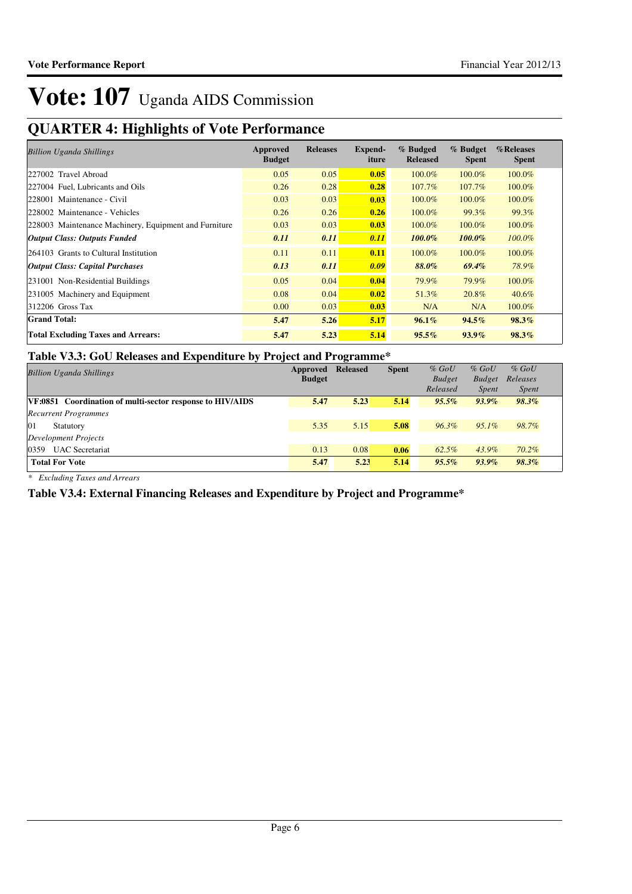## **QUARTER 4: Highlights of Vote Performance**

| <b>Billion Uganda Shillings</b>                       | Approved<br><b>Budget</b> | <b>Releases</b> | Expend-<br>iture | % Budged<br><b>Released</b> | % Budget<br><b>Spent</b> | %Releases<br><b>Spent</b> |
|-------------------------------------------------------|---------------------------|-----------------|------------------|-----------------------------|--------------------------|---------------------------|
| 227002 Travel Abroad                                  | 0.05                      | 0.05            | 0.05             | 100.0%                      | 100.0%                   | 100.0%                    |
| 227004 Fuel, Lubricants and Oils                      | 0.26                      | 0.28            | 0.28             | 107.7%                      | 107.7%                   | 100.0%                    |
| 228001 Maintenance - Civil                            | 0.03                      | 0.03            | 0.03             | 100.0%                      | 100.0%                   | 100.0%                    |
| 228002 Maintenance - Vehicles                         | 0.26                      | 0.26            | 0.26             | 100.0%                      | 99.3%                    | 99.3%                     |
| 228003 Maintenance Machinery, Equipment and Furniture | 0.03                      | 0.03            | 0.03             | 100.0%                      | 100.0%                   | 100.0%                    |
| <b>Output Class: Outputs Funded</b>                   | 0.11                      | 0.11            | 0.11             | $100.0\%$                   | 100.0%                   | 100.0%                    |
| 264103 Grants to Cultural Institution                 | 0.11                      | 0.11            | 0.11             | 100.0%                      | 100.0%                   | 100.0%                    |
| <i><b>Output Class: Capital Purchases</b></i>         | 0.13                      | 0.11            | 0.09             | 88.0%                       | $69.4\%$                 | 78.9%                     |
| 231001 Non-Residential Buildings                      | 0.05                      | 0.04            | 0.04             | 79.9%                       | 79.9%                    | 100.0%                    |
| 231005 Machinery and Equipment                        | 0.08                      | 0.04            | 0.02             | 51.3%                       | 20.8%                    | $40.6\%$                  |
| $312206$ Gross Tax                                    | 0.00                      | 0.03            | 0.03             | N/A                         | N/A                      | 100.0%                    |
| <b>Grand Total:</b>                                   | 5.47                      | 5.26            | 5.17             | $96.1\%$                    | $94.5\%$                 | $98.3\%$                  |
| <b>Total Excluding Taxes and Arrears:</b>             | 5.47                      | 5.23            | 5.14             | 95.5%                       | $93.9\%$                 | 98.3%                     |

#### **Table V3.3: GoU Releases and Expenditure by Project and Programme\***

| <b>Billion Uganda Shillings</b>                           | Approved<br><b>Budget</b> | <b>Released</b> | <b>Spent</b> | $%$ GoU<br><b>Budget</b> | $%$ GoU<br><b>Budget</b> | $%$ GoU<br>Releases |
|-----------------------------------------------------------|---------------------------|-----------------|--------------|--------------------------|--------------------------|---------------------|
|                                                           |                           |                 |              | Released                 | <i>Spent</i>             | <i>Spent</i>        |
| VF:0851 Coordination of multi-sector response to HIV/AIDS | 5.47                      | 5.23            | 5.14         | $95.5\%$                 | $93.9\%$                 | $98.3\%$            |
| <b>Recurrent Programmes</b>                               |                           |                 |              |                          |                          |                     |
| 01<br>Statutory                                           | 5.35                      | 5.15            | 5.08         | $96.3\%$                 | $95.1\%$                 | 98.7%               |
| Development Projects                                      |                           |                 |              |                          |                          |                     |
| <b>UAC</b> Secretariat<br>0359                            | 0.13                      | 0.08            | 0.06         | 62.5%                    | 43.9%                    | $70.2\%$            |
| <b>Total For Vote</b>                                     | 5.47                      | 5.23            | 5.14         | $95.5\%$                 | $93.9\%$                 | 98.3%               |

*\* Excluding Taxes and Arrears*

**Table V3.4: External Financing Releases and Expenditure by Project and Programme\***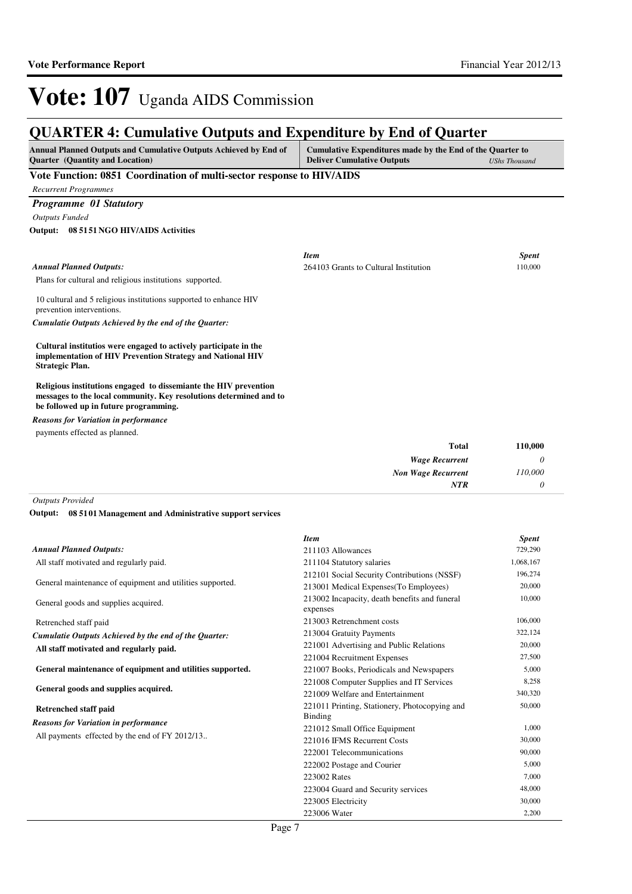*110,000 0*

*Non Wage Recurrent*

*NTR*

## Vote: 107 Uganda AIDS Commission

### **QUARTER 4: Cumulative Outputs and Expenditure by End of Quarter**

| <b>Annual Planned Outputs and Cumulative Outputs Achieved by End of</b> | Cumulative Expenditures made by the End of the Quarter to |                      |  |  |  |
|-------------------------------------------------------------------------|-----------------------------------------------------------|----------------------|--|--|--|
| <b>Quarter</b> (Quantity and Location)                                  | <b>Deliver Cumulative Outputs</b>                         | <b>UShs Thousand</b> |  |  |  |

#### **Vote Function: 0851 Coordination of multi-sector response to HIV/AIDS**

*Recurrent Programmes*

### *Programme 01 Statutory*

*Outputs Funded*

**08 5151 NGO HIV/AIDS Activities Output:**

|                                                                                                                                                                                 | <b>Item</b>                           |       | <b>Spent</b> |
|---------------------------------------------------------------------------------------------------------------------------------------------------------------------------------|---------------------------------------|-------|--------------|
| <b>Annual Planned Outputs:</b>                                                                                                                                                  | 264103 Grants to Cultural Institution |       | 110,000      |
| Plans for cultural and religious institutions supported.                                                                                                                        |                                       |       |              |
| 10 cultural and 5 religious institutions supported to enhance HIV<br>prevention interventions.                                                                                  |                                       |       |              |
| Cumulatie Outputs Achieved by the end of the Quarter:                                                                                                                           |                                       |       |              |
| Cultural institutios were engaged to actively participate in the<br>implementation of HIV Prevention Strategy and National HIV<br><b>Strategic Plan.</b>                        |                                       |       |              |
| Religious institutions engaged to dissemiante the HIV prevention<br>messages to the local community. Key resolutions determined and to<br>be followed up in future programming. |                                       |       |              |
| <b>Reasons for Variation in performance</b>                                                                                                                                     |                                       |       |              |
| payments effected as planned.                                                                                                                                                   |                                       |       |              |
|                                                                                                                                                                                 |                                       | Total | 110,000      |
|                                                                                                                                                                                 | Wage Recurrent                        |       | 0            |

*Outputs Provided*

**08 5101 Management and Administrative support services Output:**

|                                                           | <b>Item</b>                                               | <b>Spent</b> |
|-----------------------------------------------------------|-----------------------------------------------------------|--------------|
| <b>Annual Planned Outputs:</b>                            | 211103 Allowances                                         | 729,290      |
| All staff motivated and regularly paid.                   | 211104 Statutory salaries                                 | 1,068,167    |
|                                                           | 212101 Social Security Contributions (NSSF)               | 196,274      |
| General maintenance of equipment and utilities supported. | 213001 Medical Expenses (To Employees)                    | 20,000       |
| General goods and supplies acquired.                      | 213002 Incapacity, death benefits and funeral<br>expenses | 10,000       |
| Retrenched staff paid                                     | 213003 Retrenchment costs                                 | 106,000      |
| Cumulatie Outputs Achieved by the end of the Quarter:     | 213004 Gratuity Payments                                  | 322,124      |
| All staff motivated and regularly paid.                   | 221001 Advertising and Public Relations                   | 20,000       |
|                                                           | 221004 Recruitment Expenses                               | 27,500       |
| General maintenance of equipment and utilities supported. | 221007 Books, Periodicals and Newspapers                  | 5,000        |
|                                                           | 221008 Computer Supplies and IT Services                  | 8,258        |
| General goods and supplies acquired.                      | 221009 Welfare and Entertainment                          | 340,320      |
| Retrenched staff paid                                     | 221011 Printing, Stationery, Photocopying and<br>Binding  | 50,000       |
| <b>Reasons for Variation in performance</b>               | 221012 Small Office Equipment                             | 1,000        |
| All payments effected by the end of FY 2012/13            | 221016 IFMS Recurrent Costs                               | 30,000       |
|                                                           | 222001 Telecommunications                                 | 90,000       |
|                                                           | 222002 Postage and Courier                                | 5,000        |
|                                                           | 223002 Rates                                              | 7,000        |
|                                                           | 223004 Guard and Security services                        | 48,000       |
|                                                           | 223005 Electricity                                        | 30,000       |
|                                                           | 223006 Water                                              | 2,200        |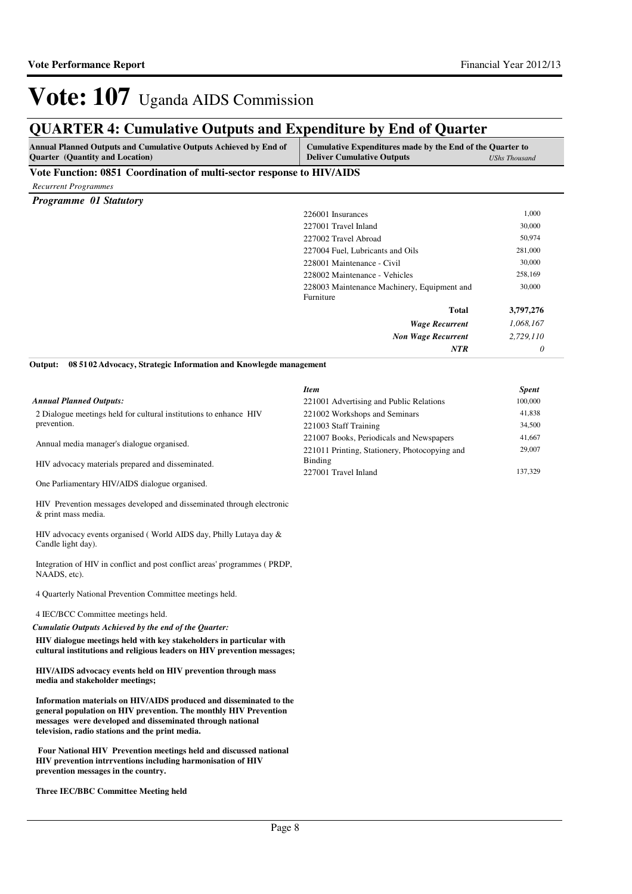### **QUARTER 4: Cumulative Outputs and Expenditure by End of Quarter**

| Annual Planned Outputs and Cumulative Outputs Achieved by End of<br><b>Quarter</b> (Quantity and Location)                                                                                                                                             | Cumulative Expenditures made by the End of the Quarter to<br><b>Deliver Cumulative Outputs</b> | <b>UShs Thousand</b> |
|--------------------------------------------------------------------------------------------------------------------------------------------------------------------------------------------------------------------------------------------------------|------------------------------------------------------------------------------------------------|----------------------|
| Vote Function: 0851 Coordination of multi-sector response to HIV/AIDS                                                                                                                                                                                  |                                                                                                |                      |
| <b>Recurrent Programmes</b>                                                                                                                                                                                                                            |                                                                                                |                      |
| Programme 01 Statutory                                                                                                                                                                                                                                 |                                                                                                |                      |
|                                                                                                                                                                                                                                                        | 226001 Insurances                                                                              | 1,000                |
|                                                                                                                                                                                                                                                        | 227001 Travel Inland                                                                           | 30,000               |
|                                                                                                                                                                                                                                                        | 227002 Travel Abroad                                                                           | 50,974               |
|                                                                                                                                                                                                                                                        | 227004 Fuel, Lubricants and Oils                                                               | 281,000              |
|                                                                                                                                                                                                                                                        | 228001 Maintenance - Civil                                                                     | 30,000               |
|                                                                                                                                                                                                                                                        | 228002 Maintenance - Vehicles                                                                  | 258,169              |
|                                                                                                                                                                                                                                                        | 228003 Maintenance Machinery, Equipment and<br>Furniture                                       | 30,000               |
|                                                                                                                                                                                                                                                        | Total                                                                                          | 3,797,276            |
|                                                                                                                                                                                                                                                        | <b>Wage Recurrent</b>                                                                          | 1,068,167            |
|                                                                                                                                                                                                                                                        | <b>Non Wage Recurrent</b>                                                                      | 2,729,110            |
|                                                                                                                                                                                                                                                        | NTR                                                                                            | 0                    |
| 08 5102 Advocacy, Strategic Information and Knowlegde management<br>Output:                                                                                                                                                                            |                                                                                                |                      |
|                                                                                                                                                                                                                                                        | <b>Item</b>                                                                                    | <b>Spent</b>         |
| <b>Annual Planned Outputs:</b>                                                                                                                                                                                                                         | 221001 Advertising and Public Relations                                                        | 100,000              |
| 2 Dialogue meetings held for cultural institutions to enhance HIV<br>prevention.                                                                                                                                                                       | 221002 Workshops and Seminars                                                                  | 41,838               |
|                                                                                                                                                                                                                                                        | 221003 Staff Training                                                                          | 34,500               |
| Annual media manager's dialogue organised.                                                                                                                                                                                                             | 221007 Books, Periodicals and Newspapers                                                       | 41,667               |
|                                                                                                                                                                                                                                                        | 221011 Printing, Stationery, Photocopying and                                                  | 29,007               |
| HIV advocacy materials prepared and disseminated.                                                                                                                                                                                                      | Binding<br>227001 Travel Inland                                                                | 137,329              |
| One Parliamentary HIV/AIDS dialogue organised.                                                                                                                                                                                                         |                                                                                                |                      |
|                                                                                                                                                                                                                                                        |                                                                                                |                      |
| HIV Prevention messages developed and disseminated through electronic<br>& print mass media.                                                                                                                                                           |                                                                                                |                      |
| HIV advocacy events organised (World AIDS day, Philly Lutaya day $\&$<br>Candle light day).                                                                                                                                                            |                                                                                                |                      |
| Integration of HIV in conflict and post conflict areas' programmes (PRDP,<br>NAADS, etc).                                                                                                                                                              |                                                                                                |                      |
| 4 Quarterly National Prevention Committee meetings held.                                                                                                                                                                                               |                                                                                                |                      |
| 4 IEC/BCC Committee meetings held.                                                                                                                                                                                                                     |                                                                                                |                      |
| Cumulatie Outputs Achieved by the end of the Quarter:                                                                                                                                                                                                  |                                                                                                |                      |
| HIV dialogue meetings held with key stakeholders in particular with<br>cultural institutions and religious leaders on HIV prevention messages;                                                                                                         |                                                                                                |                      |
| HIV/AIDS advocacy events held on HIV prevention through mass<br>media and stakeholder meetings;                                                                                                                                                        |                                                                                                |                      |
| Information materials on HIV/AIDS produced and disseminated to the<br>general population on HIV prevention. The monthly HIV Prevention<br>messages were developed and disseminated through national<br>television, radio stations and the print media. |                                                                                                |                      |
| Four National HIV Prevention meetings held and discussed national                                                                                                                                                                                      |                                                                                                |                      |

**HIV prevention intrrventions including harmonisation of HIV prevention messages in the country.**

**Three IEC/BBC Committee Meeting held**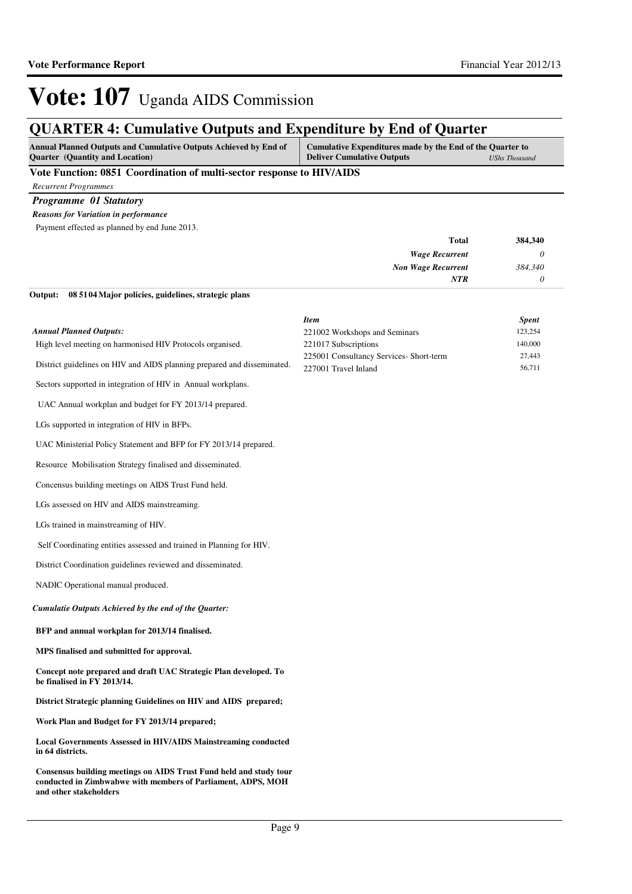## **QUARTER 4: Cumulative Outputs and Expenditure by End of Quarter**

| <b>Annual Planned Outputs and Cumulative Outputs Achieved by End of</b> | Cumulative Expenditures made by the End of the Quarter to |               |
|-------------------------------------------------------------------------|-----------------------------------------------------------|---------------|
| <b>Ouarter</b> (Quantity and Location)                                  | <b>Deliver Cumulative Outputs</b>                         | UShs Thousand |
|                                                                         |                                                           |               |

#### **Vote Function: 0851 Coordination of multi-sector response to HIV/AIDS**

*Recurrent Programmes*

*Programme 01 Statutory*

#### *Reasons for Variation in performance*

Payment effected as planned by end June 2013.

**08 5104 Major policies, guidelines, strategic plans Output:**

| 384,340 | Total                     |
|---------|---------------------------|
|         | <b>Wage Recurrent</b>     |
| 384,340 | <b>Non Wage Recurrent</b> |
|         | <b>NTR</b>                |
|         |                           |

|                                                                                                 | <b>Item</b>                                                     | <b>Spent</b>     |
|-------------------------------------------------------------------------------------------------|-----------------------------------------------------------------|------------------|
| <b>Annual Planned Outputs:</b>                                                                  | 221002 Workshops and Seminars                                   | 123,254          |
| High level meeting on harmonised HIV Protocols organised.                                       | 221017 Subscriptions                                            | 140,000          |
| District guidelines on HIV and AIDS planning prepared and disseminated.                         | 225001 Consultancy Services- Short-term<br>227001 Travel Inland | 27,443<br>56,711 |
| Sectors supported in integration of HIV in Annual workplans.                                    |                                                                 |                  |
| UAC Annual workplan and budget for FY 2013/14 prepared.                                         |                                                                 |                  |
| LGs supported in integration of HIV in BFPs.                                                    |                                                                 |                  |
| UAC Ministerial Policy Statement and BFP for FY 2013/14 prepared.                               |                                                                 |                  |
| Resource Mobilisation Strategy finalised and disseminated.                                      |                                                                 |                  |
| Concensus building meetings on AIDS Trust Fund held.                                            |                                                                 |                  |
| LGs assessed on HIV and AIDS mainstreaming.                                                     |                                                                 |                  |
| LGs trained in mainstreaming of HIV.                                                            |                                                                 |                  |
| Self Coordinating entities assessed and trained in Planning for HIV.                            |                                                                 |                  |
| District Coordination guidelines reviewed and disseminated.                                     |                                                                 |                  |
| NADIC Operational manual produced.                                                              |                                                                 |                  |
| Cumulatie Outputs Achieved by the end of the Quarter:                                           |                                                                 |                  |
| BFP and annual workplan for 2013/14 finalised.                                                  |                                                                 |                  |
| MPS finalised and submitted for approval.                                                       |                                                                 |                  |
| Concept note prepared and draft UAC Strategic Plan developed. To<br>be finalised in FY 2013/14. |                                                                 |                  |
| District Strategic planning Guidelines on HIV and AIDS prepared;                                |                                                                 |                  |
| Work Plan and Budget for FY 2013/14 prepared;                                                   |                                                                 |                  |
| <b>Local Governments Assessed in HIV/AIDS Mainstreaming conducted</b><br>in 64 districts.       |                                                                 |                  |
| Consensus building meetings on AIDS Trust Fund held and study tour                              |                                                                 |                  |

**conducted in Zimbwabwe with members of Parliament, ADPS, MOH and other stakeholders**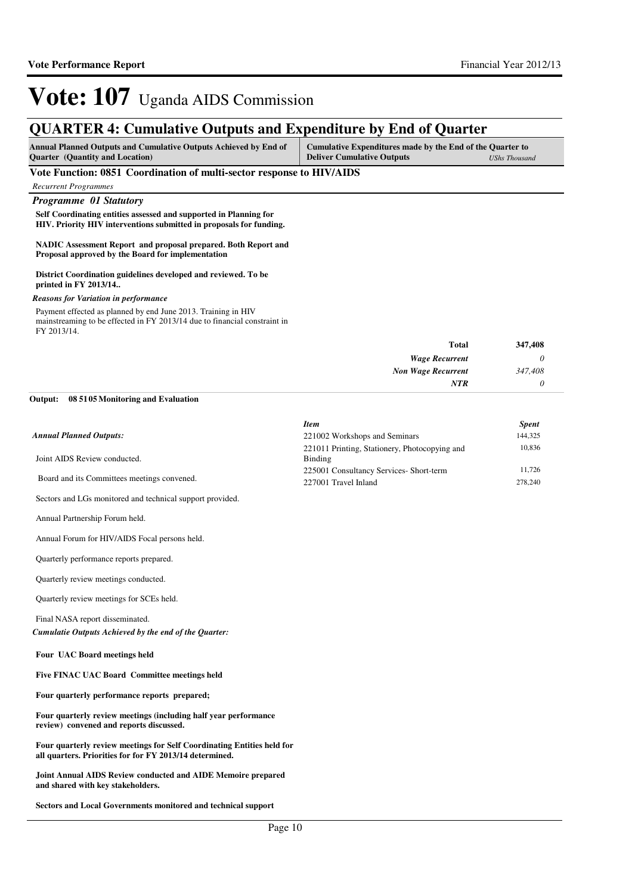### **QUARTER 4: Cumulative Outputs and Expenditure by End of Quarter**

| <b>Annual Planned Outputs and Cumulative Outputs Achieved by End of</b> | Cumulative Expenditures made by the End of the Quarter to |               |
|-------------------------------------------------------------------------|-----------------------------------------------------------|---------------|
| <b>Quarter</b> (Quantity and Location)                                  | <b>Deliver Cumulative Outputs</b>                         | UShs Thousand |

#### **Vote Function: 0851 Coordination of multi-sector response to HIV/AIDS**

*Recurrent Programmes*

#### *Programme 01 Statutory*

**Self Coordinating entities assessed and supported in Planning for HIV. Priority HIV interventions submitted in proposals for funding.**

**NADIC Assessment Report and proposal prepared. Both Report and Proposal approved by the Board for implementation**

**District Coordination guidelines developed and reviewed. To be printed in FY 2013/14..**

#### *Reasons for Variation in performance*

Payment effected as planned by end June 2013. Training in HIV mainstreaming to be effected in FY 2013/14 due to financial constraint in FY 2013/14.

| <b>Total</b>              | 347,408  |
|---------------------------|----------|
| <b>Wage Recurrent</b>     | $\theta$ |
| <b>Non Wage Recurrent</b> | 347,408  |
| <b>NTR</b>                | 0        |

#### **08 5105 Monitoring and Evaluation Output:**

|                                                           | <b>Item</b>                                              | <b>Spent</b> |
|-----------------------------------------------------------|----------------------------------------------------------|--------------|
| <b>Annual Planned Outputs:</b>                            | 221002 Workshops and Seminars                            | 144,325      |
| Joint AIDS Review conducted.                              | 221011 Printing, Stationery, Photocopying and<br>Binding | 10,836       |
|                                                           | 225001 Consultancy Services-Short-term                   | 11.726       |
| Board and its Committees meetings convened.               | 227001 Travel Inland                                     | 278,240      |
| Sectors and LGs monitored and technical support provided. |                                                          |              |

Annual Forum for HIV/AIDS Focal persons held.

Annual Partnership Forum held.

Quarterly performance reports prepared.

Quarterly review meetings conducted.

Quarterly review meetings for SCEs held.

Final NASA report disseminated.

*Cumulatie Outputs Achieved by the end of the Quarter:*

**Four UAC Board meetings held** 

**Five FINAC UAC Board Committee meetings held** 

**Four quarterly performance reports prepared;**

**Four quarterly review meetings (including half year performance review) convened and reports discussed.**

**Four quarterly review meetings for Self Coordinating Entities held for all quarters. Priorities for for FY 2013/14 determined.**

**Joint Annual AIDS Review conducted and AIDE Memoire prepared and shared with key stakeholders.**

**Sectors and Local Governments monitored and technical support**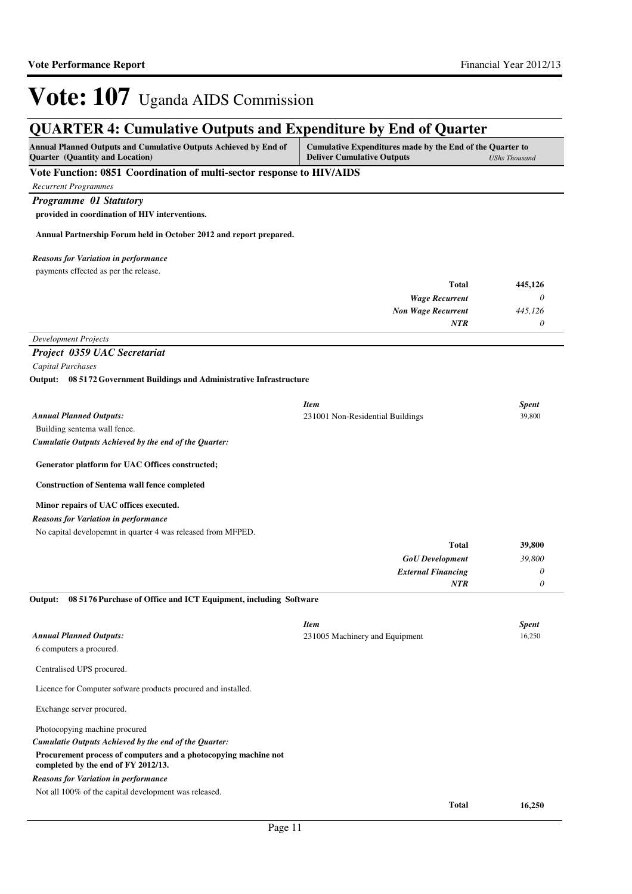**Total 16,250**

## Vote: 107 Uganda AIDS Commission

### **QUARTER 4: Cumulative Outputs and Expenditure by End of Quarter**

| OUANTER 7. Camalative Outputs and Expenditure by Eine of Quarter                                       |                                                                                                |                      |
|--------------------------------------------------------------------------------------------------------|------------------------------------------------------------------------------------------------|----------------------|
| Annual Planned Outputs and Cumulative Outputs Achieved by End of<br>Quarter (Quantity and Location)    | Cumulative Expenditures made by the End of the Quarter to<br><b>Deliver Cumulative Outputs</b> | <b>UShs Thousand</b> |
| Vote Function: 0851 Coordination of multi-sector response to HIV/AIDS                                  |                                                                                                |                      |
| <b>Recurrent Programmes</b>                                                                            |                                                                                                |                      |
| Programme 01 Statutory                                                                                 |                                                                                                |                      |
| provided in coordination of HIV interventions.                                                         |                                                                                                |                      |
| Annual Partnership Forum held in October 2012 and report prepared.                                     |                                                                                                |                      |
| <b>Reasons for Variation in performance</b>                                                            |                                                                                                |                      |
| payments effected as per the release.                                                                  |                                                                                                |                      |
|                                                                                                        | <b>Total</b>                                                                                   | 445,126              |
|                                                                                                        | <b>Wage Recurrent</b>                                                                          | $\theta$             |
|                                                                                                        | <b>Non Wage Recurrent</b><br><b>NTR</b>                                                        | 445,126<br>0         |
| <b>Development Projects</b>                                                                            |                                                                                                |                      |
| Project 0359 UAC Secretariat                                                                           |                                                                                                |                      |
| Capital Purchases                                                                                      |                                                                                                |                      |
| Output: 08 5172 Government Buildings and Administrative Infrastructure                                 |                                                                                                |                      |
|                                                                                                        | <b>Item</b>                                                                                    | <b>Spent</b>         |
| <b>Annual Planned Outputs:</b>                                                                         | 231001 Non-Residential Buildings                                                               | 39,800               |
| Building sentema wall fence.                                                                           |                                                                                                |                      |
| Cumulatie Outputs Achieved by the end of the Quarter:                                                  |                                                                                                |                      |
| Generator platform for UAC Offices constructed;                                                        |                                                                                                |                      |
| <b>Construction of Sentema wall fence completed</b>                                                    |                                                                                                |                      |
| Minor repairs of UAC offices executed.                                                                 |                                                                                                |                      |
| <b>Reasons for Variation in performance</b>                                                            |                                                                                                |                      |
| No capital developemnt in quarter 4 was released from MFPED.                                           |                                                                                                |                      |
|                                                                                                        | <b>Total</b>                                                                                   | 39,800               |
|                                                                                                        | <b>GoU</b> Development                                                                         | 39,800               |
|                                                                                                        | <b>External Financing</b>                                                                      | 0                    |
| 08 5176 Purchase of Office and ICT Equipment, including Software<br>Output:                            | <b>NTR</b>                                                                                     | $\theta$             |
|                                                                                                        |                                                                                                |                      |
|                                                                                                        | <b>Item</b>                                                                                    | <b>Spent</b>         |
| <b>Annual Planned Outputs:</b><br>6 computers a procured.                                              | 231005 Machinery and Equipment                                                                 | 16,250               |
| Centralised UPS procured.                                                                              |                                                                                                |                      |
| Licence for Computer sofware products procured and installed.                                          |                                                                                                |                      |
| Exchange server procured.                                                                              |                                                                                                |                      |
| Photocopying machine procured                                                                          |                                                                                                |                      |
| Cumulatie Outputs Achieved by the end of the Quarter:                                                  |                                                                                                |                      |
| Procurement process of computers and a photocopying machine not<br>completed by the end of FY 2012/13. |                                                                                                |                      |
| <b>Reasons for Variation in performance</b>                                                            |                                                                                                |                      |
| Not all 100% of the capital development was released.                                                  |                                                                                                |                      |

Page 11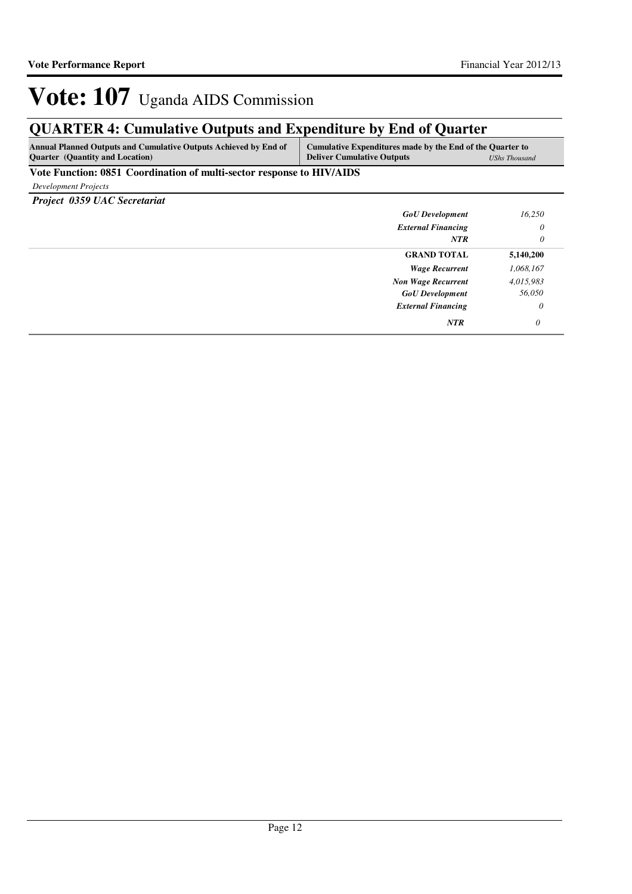## **QUARTER 4: Cumulative Outputs and Expenditure by End of Quarter**

| <b>Annual Planned Outputs and Cumulative Outputs Achieved by End of</b> | Cumulative Expenditures made by the End of the Quarter to |                      |
|-------------------------------------------------------------------------|-----------------------------------------------------------|----------------------|
| <b>Ouarter</b> (Quantity and Location)                                  | <b>Deliver Cumulative Outputs</b>                         | <b>UShs Thousand</b> |

**Vote Function: 0851 Coordination of multi-sector response to HIV/AIDS**

*Development Projects*

*Project 0359 UAC Secretariat*

| <b>GoU</b> Development    | 16,250    |
|---------------------------|-----------|
| <b>External Financing</b> | $\theta$  |
| NTR                       | $\theta$  |
| <b>GRAND TOTAL</b>        | 5,140,200 |
| <b>Wage Recurrent</b>     | 1,068,167 |
| <b>Non Wage Recurrent</b> | 4,015,983 |
| <b>GoU</b> Development    | 56,050    |
| <b>External Financing</b> | 0         |
| <b>NTR</b>                | 0         |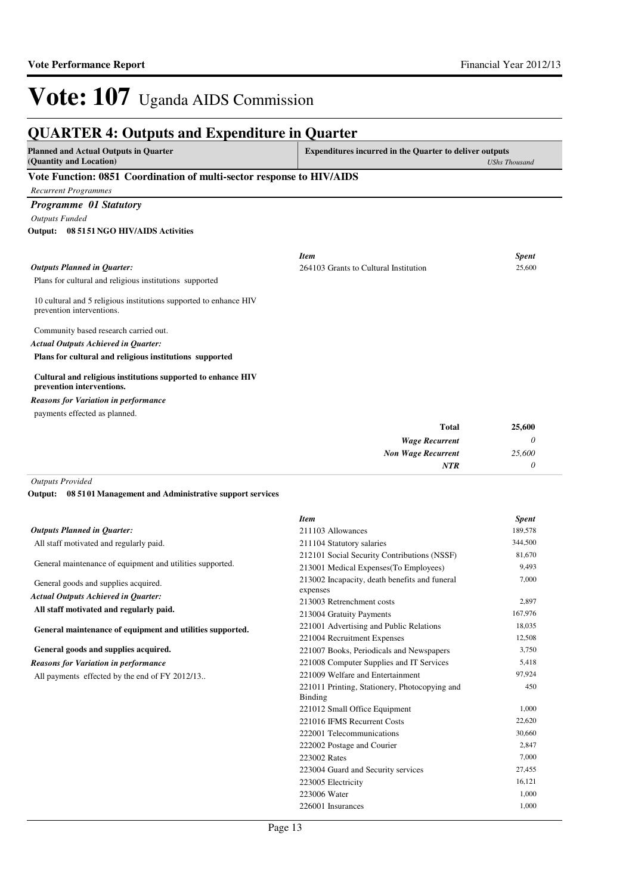*0*

*NTR*

## Vote: 107 Uganda AIDS Commission

### **QUARTER 4: Outputs and Expenditure in Quarter**

| <b>Planned and Actual Outputs in Quarter</b>                                                   | <b>Expenditures incurred in the Quarter to deliver outputs</b> |                      |
|------------------------------------------------------------------------------------------------|----------------------------------------------------------------|----------------------|
| (Quantity and Location)                                                                        |                                                                | <b>UShs Thousand</b> |
| Vote Function: 0851 Coordination of multi-sector response to HIV/AIDS                          |                                                                |                      |
| <b>Recurrent Programmes</b>                                                                    |                                                                |                      |
| <b>Programme 01 Statutory</b>                                                                  |                                                                |                      |
| <b>Outputs Funded</b>                                                                          |                                                                |                      |
| 08 51 51 NGO HIV/AIDS Activities<br>Output:                                                    |                                                                |                      |
|                                                                                                | <b>Item</b>                                                    | <b>Spent</b>         |
| <b>Outputs Planned in Ouarter:</b>                                                             | 264103 Grants to Cultural Institution                          | 25,600               |
| Plans for cultural and religious institutions supported                                        |                                                                |                      |
| 10 cultural and 5 religious institutions supported to enhance HIV<br>prevention interventions. |                                                                |                      |
| Community based research carried out.                                                          |                                                                |                      |
| <b>Actual Outputs Achieved in Quarter:</b>                                                     |                                                                |                      |
| Plans for cultural and religious institutions supported                                        |                                                                |                      |
| Cultural and religious institutions supported to enhance HIV<br>prevention interventions.      |                                                                |                      |
| <b>Reasons for Variation in performance</b>                                                    |                                                                |                      |
| payments effected as planned.                                                                  |                                                                |                      |
|                                                                                                | <b>Total</b>                                                   | 25,600               |
|                                                                                                | <b>Wage Recurrent</b>                                          | 0                    |
|                                                                                                | <b>Non Wage Recurrent</b>                                      | 25,600               |

#### *Outputs Provided*

**08 5101 Management and Administrative support services Output:**

|                                                           | <b>Item</b>                                                     | <b>Spent</b> |
|-----------------------------------------------------------|-----------------------------------------------------------------|--------------|
| <b>Outputs Planned in Quarter:</b>                        | 211103 Allowances                                               | 189,578      |
| All staff motivated and regularly paid.                   | 211104 Statutory salaries                                       | 344,500      |
|                                                           | 212101 Social Security Contributions (NSSF)                     | 81,670       |
| General maintenance of equipment and utilities supported. | 213001 Medical Expenses (To Employees)                          | 9,493        |
| General goods and supplies acquired.                      | 213002 Incapacity, death benefits and funeral<br>expenses       | 7,000        |
| <b>Actual Outputs Achieved in Quarter:</b>                | 213003 Retrenchment costs                                       | 2,897        |
| All staff motivated and regularly paid.                   | 213004 Gratuity Payments                                        | 167,976      |
| General maintenance of equipment and utilities supported. | 221001 Advertising and Public Relations                         | 18,035       |
|                                                           | 221004 Recruitment Expenses                                     | 12,508       |
| General goods and supplies acquired.                      | 221007 Books, Periodicals and Newspapers                        | 3,750        |
| <b>Reasons for Variation in performance</b>               | 221008 Computer Supplies and IT Services                        | 5,418        |
| All payments effected by the end of FY 2012/13            | 221009 Welfare and Entertainment                                | 97,924       |
|                                                           | 221011 Printing, Stationery, Photocopying and<br><b>Binding</b> | 450          |
|                                                           | 221012 Small Office Equipment                                   | 1,000        |
|                                                           | 221016 IFMS Recurrent Costs                                     | 22,620       |
|                                                           | 222001 Telecommunications                                       | 30,660       |
|                                                           | 222002 Postage and Courier                                      | 2,847        |
|                                                           | 223002 Rates                                                    | 7,000        |
|                                                           | 223004 Guard and Security services                              | 27,455       |
|                                                           | 223005 Electricity                                              | 16,121       |
|                                                           | 223006 Water                                                    | 1,000        |
|                                                           | 226001 Insurances                                               | 1,000        |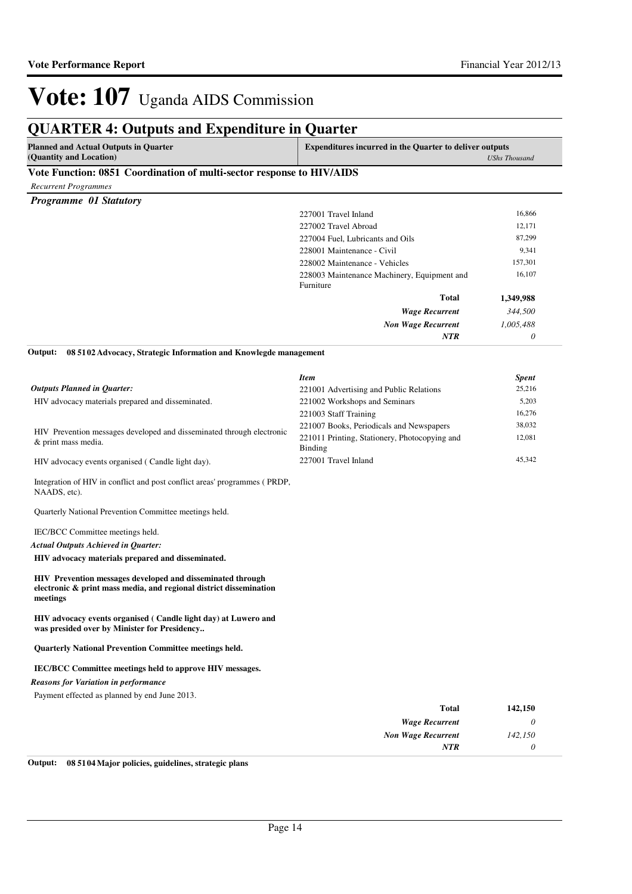### **QUARTER 4: Outputs and Expenditure in Quarter**

| <b>Planned and Actual Outputs in Quarter</b>                                            | <b>Expenditures incurred in the Quarter to deliver outputs</b> |  |
|-----------------------------------------------------------------------------------------|----------------------------------------------------------------|--|
| (Quantity and Location)                                                                 | <b>UShs Thousand</b>                                           |  |
| $\mathbf{v}$ is a cost of the cost of the cost of $\mathbf{v}$ is a set of $\mathbf{v}$ |                                                                |  |

#### **Vote Function: 0851 Coordination of multi-sector response to HIV/AIDS**

*Recurrent Programmes*

| <b>Programme 01 Statutory</b> |                                             |           |
|-------------------------------|---------------------------------------------|-----------|
|                               | 227001 Travel Inland                        | 16,866    |
|                               | 227002 Travel Abroad                        | 12,171    |
|                               | 227004 Fuel, Lubricants and Oils            | 87,299    |
|                               | 228001 Maintenance - Civil                  | 9,341     |
|                               | 228002 Maintenance - Vehicles               | 157,301   |
|                               | 228003 Maintenance Machinery, Equipment and | 16,107    |
|                               | Furniture                                   |           |
|                               | <b>Total</b>                                | 1,349,988 |
|                               | <b>Wage Recurrent</b>                       | 344,500   |
|                               | <b>Non Wage Recurrent</b>                   | 1,005,488 |
|                               | <b>NTR</b>                                  | $\theta$  |

**08 5102 Advocacy, Strategic Information and Knowlegde management Output:**

|                                                                                                                                              | <b>Item</b>                                              | <b>Spent</b> |
|----------------------------------------------------------------------------------------------------------------------------------------------|----------------------------------------------------------|--------------|
| <b>Outputs Planned in Ouarter:</b>                                                                                                           | 221001 Advertising and Public Relations                  | 25,216       |
| HIV advocacy materials prepared and disseminated.                                                                                            | 221002 Workshops and Seminars                            | 5,203        |
|                                                                                                                                              | 221003 Staff Training                                    | 16,276       |
| HIV Prevention messages developed and disseminated through electronic                                                                        | 221007 Books, Periodicals and Newspapers                 | 38,032       |
| & print mass media.                                                                                                                          | 221011 Printing, Stationery, Photocopying and<br>Binding | 12,081       |
| HIV advocacy events organised (Candle light day).                                                                                            | 227001 Travel Inland                                     | 45,342       |
| Integration of HIV in conflict and post conflict areas' programmes (PRDP,<br>NAADS, etc).                                                    |                                                          |              |
| Quarterly National Prevention Committee meetings held.                                                                                       |                                                          |              |
| IEC/BCC Committee meetings held.                                                                                                             |                                                          |              |
| <b>Actual Outputs Achieved in Ouarter:</b>                                                                                                   |                                                          |              |
| HIV advocacy materials prepared and disseminated.                                                                                            |                                                          |              |
| HIV Prevention messages developed and disseminated through<br>electronic & print mass media, and regional district dissemination<br>meetings |                                                          |              |
| HIV advocacy events organised (Candle light day) at Luwero and<br>was presided over by Minister for Presidency                               |                                                          |              |
| <b>Quarterly National Prevention Committee meetings held.</b>                                                                                |                                                          |              |
| <b>IEC/BCC Committee meetings held to approve HIV messages.</b>                                                                              |                                                          |              |
| <b>Reasons for Variation in performance</b>                                                                                                  |                                                          |              |
| Payment effected as planned by end June 2013.                                                                                                |                                                          |              |
|                                                                                                                                              | <b>Total</b>                                             | 142,150      |
|                                                                                                                                              | <b>Wage Recurrent</b>                                    | $\theta$     |

**Output: 08 5104 Major policies, guidelines, strategic plans**

*Non Wage Recurrent*

*NTR*

*142,150 0*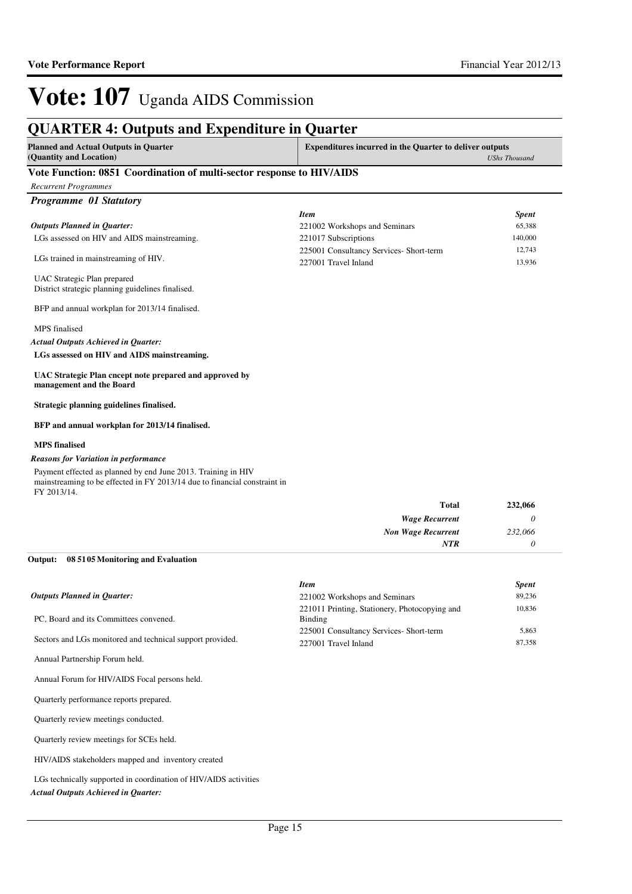### **QUARTER 4: Outputs and Expenditure in Quarter**

**Planned and Actual Outputs in Quarter (Quantity and Location)**

**Expenditures incurred in the Quarter to deliver outputs**  *UShs Thousand*

#### **Vote Function: 0851 Coordination of multi-sector response to HIV/AIDS**

*Recurrent Programmes Programme 01 Statutory* LGs assessed on HIV and AIDS mainstreaming. LGs trained in mainstreaming of HIV. UAC Strategic Plan prepared District strategic planning guidelines finalised. BFP and annual workplan for 2013/14 finalised. MPS finalised **LGs assessed on HIV and AIDS mainstreaming. UAC Strategic Plan cncept note prepared and approved by management and the Board Strategic planning guidelines finalised. BFP and annual workplan for 2013/14 finalised. MPS finalised Total 232,066** *Actual Outputs Achieved in Quarter: Outputs Planned in Quarter:* Payment effected as planned by end June 2013. Training in HIV mainstreaming to be effected in FY 2013/14 due to financial constraint in FY 2013/14. *Reasons for Variation in performance Item Spent* 221002 Workshops and Seminars 65,388 221017 Subscriptions 140,000 225001 Consultancy Services- Short-term 12,743 227001 Travel Inland 13,936

| 1 otal                    |
|---------------------------|
| <b>Wage Recurrent</b>     |
| <b>Non Wage Recurrent</b> |
| NTR                       |
|                           |

#### **08 5105 Monitoring and Evaluation Output:**

|                                                           | <b>Item</b>                                              | <b>Spent</b> |
|-----------------------------------------------------------|----------------------------------------------------------|--------------|
| <b>Outputs Planned in Ouarter:</b>                        | 221002 Workshops and Seminars                            | 89,236       |
| PC, Board and its Committees convened.                    | 221011 Printing, Stationery, Photocopying and<br>Binding | 10,836       |
|                                                           | 225001 Consultancy Services- Short-term                  | 5,863        |
| Sectors and LGs monitored and technical support provided. | 227001 Travel Inland                                     | 87,358       |
| Annual Partnership Forum held.                            |                                                          |              |
| Annual Forum for HIV/AIDS Focal persons held.             |                                                          |              |
| Quarterly performance reports prepared.                   |                                                          |              |
| Quarterly review meetings conducted.                      |                                                          |              |
| Quarterly review meetings for SCEs held.                  |                                                          |              |
|                                                           |                                                          |              |

HIV/AIDS stakeholders mapped and inventory created

LGs technically supported in coordination of HIV/AIDS activities

*Actual Outputs Achieved in Quarter:*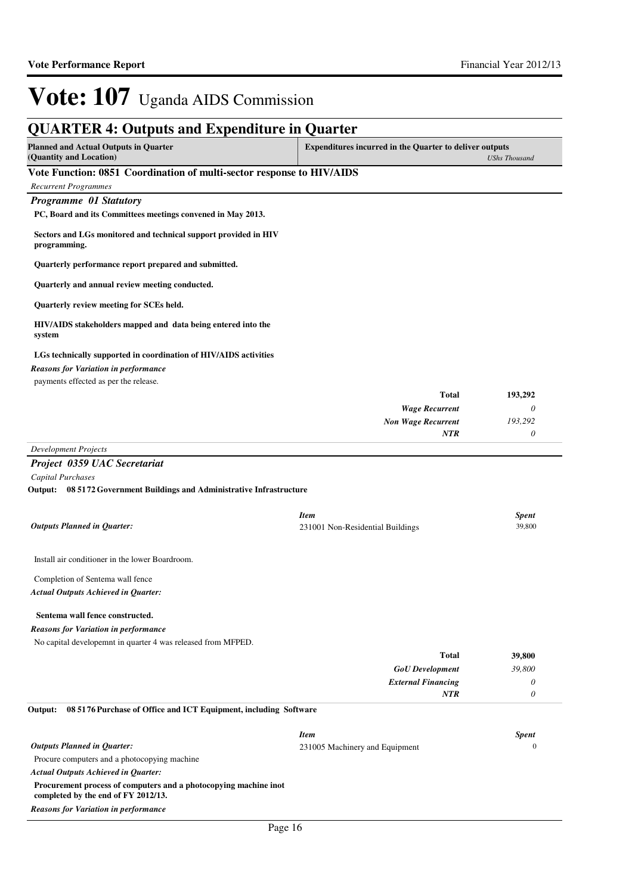| <b>QUARTER 4: Outputs and Expenditure in Quarter</b>                            |                                                                |                        |
|---------------------------------------------------------------------------------|----------------------------------------------------------------|------------------------|
| <b>Planned and Actual Outputs in Quarter</b><br>(Quantity and Location)         | <b>Expenditures incurred in the Quarter to deliver outputs</b> | <b>UShs Thousand</b>   |
| Vote Function: 0851 Coordination of multi-sector response to HIV/AIDS           |                                                                |                        |
| <b>Recurrent Programmes</b>                                                     |                                                                |                        |
| Programme 01 Statutory                                                          |                                                                |                        |
| PC, Board and its Committees meetings convened in May 2013.                     |                                                                |                        |
| Sectors and LGs monitored and technical support provided in HIV<br>programming. |                                                                |                        |
| Quarterly performance report prepared and submitted.                            |                                                                |                        |
| Quarterly and annual review meeting conducted.                                  |                                                                |                        |
| Quarterly review meeting for SCEs held.                                         |                                                                |                        |
| HIV/AIDS stakeholders mapped and data being entered into the<br>system          |                                                                |                        |
| LGs technically supported in coordination of HIV/AIDS activities                |                                                                |                        |
| <b>Reasons for Variation in performance</b>                                     |                                                                |                        |
| payments effected as per the release.                                           |                                                                |                        |
|                                                                                 | <b>Total</b>                                                   | 193,292                |
|                                                                                 | <b>Wage Recurrent</b>                                          | 0                      |
|                                                                                 | <b>Non Wage Recurrent</b>                                      | 193,292                |
|                                                                                 | NTR                                                            | $\theta$               |
| <b>Development Projects</b>                                                     |                                                                |                        |
| Project 0359 UAC Secretariat                                                    |                                                                |                        |
| Capital Purchases                                                               |                                                                |                        |
| Output: 08 5172 Government Buildings and Administrative Infrastructure          |                                                                |                        |
| <b>Outputs Planned in Quarter:</b>                                              | <b>Item</b><br>231001 Non-Residential Buildings                | <b>Spent</b><br>39,800 |
| Install air conditioner in the lower Boardroom.                                 |                                                                |                        |
| Completion of Sentema wall fence                                                |                                                                |                        |
| <b>Actual Outputs Achieved in Quarter:</b>                                      |                                                                |                        |
| Sentema wall fence constructed.                                                 |                                                                |                        |
| <b>Reasons for Variation in performance</b>                                     |                                                                |                        |
| No capital developemnt in quarter 4 was released from MFPED.                    |                                                                |                        |
|                                                                                 | <b>Total</b>                                                   | 39,800                 |
|                                                                                 | <b>GoU</b> Development                                         | 39,800                 |
|                                                                                 | <b>External Financing</b>                                      | 0                      |
|                                                                                 | NTR                                                            | $\theta$               |
| Output:<br>08 5176 Purchase of Office and ICT Equipment, including Software     |                                                                |                        |
|                                                                                 | <b>Item</b>                                                    | <b>Spent</b>           |
| <b>Outputs Planned in Quarter:</b>                                              | 231005 Machinery and Equipment                                 | $\mathbf{0}$           |
| Procure computers and a photocopying machine                                    |                                                                |                        |

*Actual Outputs Achieved in Quarter:*

### **Procurement process of computers and a photocopying machine inot**

**completed by the end of FY 2012/13.** *Reasons for Variation in performance*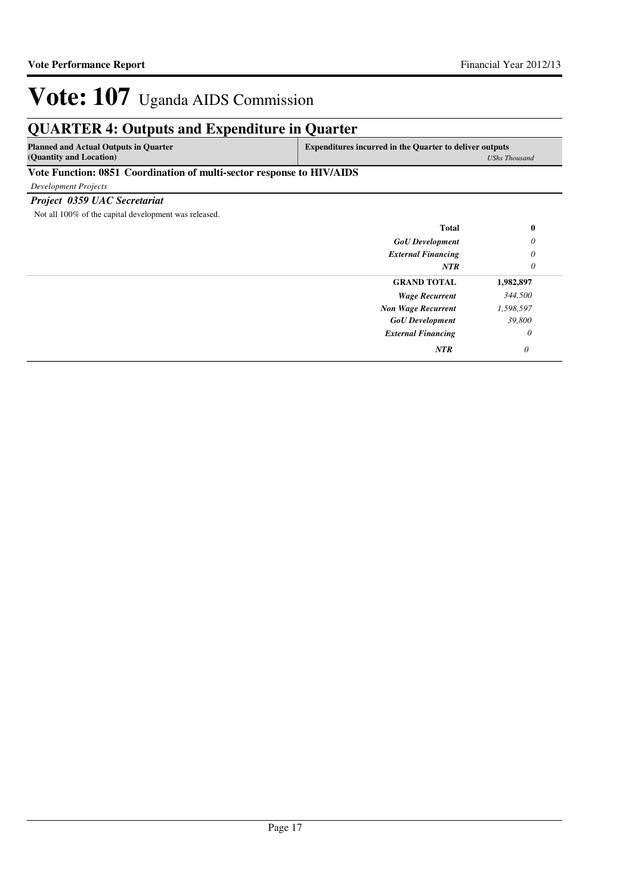### **QUARTER 4: Outputs and Expenditure in Quarter**

**Planned and Actual Outputs in Quarter (Quantity and Location)**

**Expenditures incurred in the Quarter to deliver outputs**  *UShs Thousand*

#### **Vote Function: 0851 Coordination of multi-sector response to HIV/AIDS**

*Development Projects*

*Project 0359 UAC Secretariat*

Not all 100% of the capital development was released.

| <b>Total</b>              | $\bf{0}$  |
|---------------------------|-----------|
| <b>GoU</b> Development    | 0         |
| <b>External Financing</b> | 0         |
| <b>NTR</b>                | 0         |
| <b>GRAND TOTAL</b>        | 1,982,897 |
| <b>Wage Recurrent</b>     | 344,500   |
| <b>Non Wage Recurrent</b> | 1,598,597 |
| <b>GoU</b> Development    | 39,800    |
| <b>External Financing</b> | 0         |
| <b>NTR</b>                | 0         |